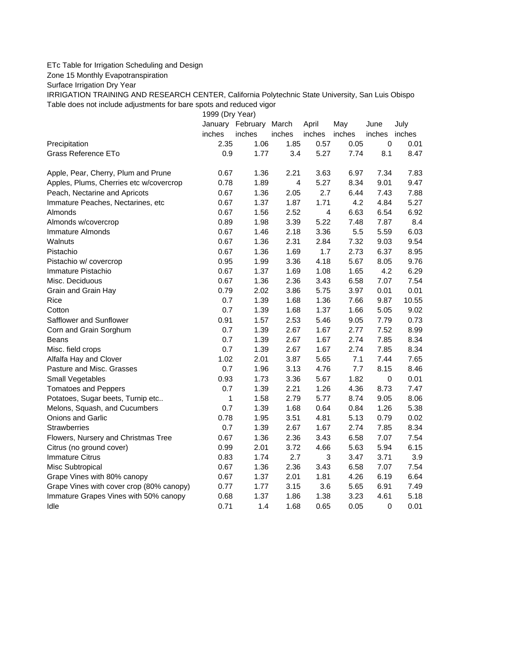## ETc Table for Irrigation Scheduling and Design

Zone 15 Monthly Evapotranspiration

Surface Irrigation Dry Year

IRRIGATION TRAINING AND RESEARCH CENTER, California Polytechnic State University, San Luis Obispo Table does not include adjustments for bare spots and reduced vigor

1999 (Dry Year)

|                                          |        | January February March |        | April      | May    | June        | July   |
|------------------------------------------|--------|------------------------|--------|------------|--------|-------------|--------|
|                                          | inches | inches                 | inches | inches     | inches | inches      | inches |
| Precipitation                            | 2.35   | 1.06                   | 1.85   | 0.57       | 0.05   | $\mathbf 0$ | 0.01   |
| Grass Reference ETo                      | 0.9    | 1.77                   | 3.4    | 5.27       | 7.74   | 8.1         | 8.47   |
| Apple, Pear, Cherry, Plum and Prune      | 0.67   | 1.36                   | 2.21   | 3.63       | 6.97   | 7.34        | 7.83   |
| Apples, Plums, Cherries etc w/covercrop  | 0.78   | 1.89                   | 4      | 5.27       | 8.34   | 9.01        | 9.47   |
| Peach, Nectarine and Apricots            | 0.67   | 1.36                   | 2.05   | 2.7        | 6.44   | 7.43        | 7.88   |
| Immature Peaches, Nectarines, etc        | 0.67   | 1.37                   | 1.87   | 1.71       | 4.2    | 4.84        | 5.27   |
| Almonds                                  | 0.67   | 1.56                   | 2.52   | 4          | 6.63   | 6.54        | 6.92   |
| Almonds w/covercrop                      | 0.89   | 1.98                   | 3.39   | 5.22       | 7.48   | 7.87        | 8.4    |
| Immature Almonds                         | 0.67   | 1.46                   | 2.18   | 3.36       | 5.5    | 5.59        | 6.03   |
| Walnuts                                  | 0.67   | 1.36                   | 2.31   | 2.84       | 7.32   | 9.03        | 9.54   |
| Pistachio                                | 0.67   | 1.36                   | 1.69   | 1.7        | 2.73   | 6.37        | 8.95   |
| Pistachio w/ covercrop                   | 0.95   | 1.99                   | 3.36   | 4.18       | 5.67   | 8.05        | 9.76   |
| Immature Pistachio                       | 0.67   | 1.37                   | 1.69   | 1.08       | 1.65   | 4.2         | 6.29   |
| Misc. Deciduous                          | 0.67   | 1.36                   | 2.36   | 3.43       | 6.58   | 7.07        | 7.54   |
| Grain and Grain Hay                      | 0.79   | 2.02                   | 3.86   | 5.75       | 3.97   | 0.01        | 0.01   |
| Rice                                     | 0.7    | 1.39                   | 1.68   | 1.36       | 7.66   | 9.87        | 10.55  |
| Cotton                                   | 0.7    | 1.39                   | 1.68   | 1.37       | 1.66   | 5.05        | 9.02   |
| Safflower and Sunflower                  | 0.91   | 1.57                   | 2.53   | 5.46       | 9.05   | 7.79        | 0.73   |
| Corn and Grain Sorghum                   | 0.7    | 1.39                   | 2.67   | 1.67       | 2.77   | 7.52        | 8.99   |
| Beans                                    | 0.7    | 1.39                   | 2.67   | 1.67       | 2.74   | 7.85        | 8.34   |
| Misc. field crops                        | 0.7    | 1.39                   | 2.67   | 1.67       | 2.74   | 7.85        | 8.34   |
| Alfalfa Hay and Clover                   | 1.02   | 2.01                   | 3.87   | 5.65       | 7.1    | 7.44        | 7.65   |
| Pasture and Misc. Grasses                | 0.7    | 1.96                   | 3.13   | 4.76       | 7.7    | 8.15        | 8.46   |
| Small Vegetables                         | 0.93   | 1.73                   | 3.36   | 5.67       | 1.82   | $\mathbf 0$ | 0.01   |
| <b>Tomatoes and Peppers</b>              | 0.7    | 1.39                   | 2.21   | 1.26       | 4.36   | 8.73        | 7.47   |
| Potatoes, Sugar beets, Turnip etc        | 1      | 1.58                   | 2.79   | 5.77       | 8.74   | 9.05        | 8.06   |
| Melons, Squash, and Cucumbers            | 0.7    | 1.39                   | 1.68   | 0.64       | 0.84   | 1.26        | 5.38   |
| Onions and Garlic                        | 0.78   | 1.95                   | 3.51   | 4.81       | 5.13   | 0.79        | 0.02   |
| <b>Strawberries</b>                      | 0.7    | 1.39                   | 2.67   | 1.67       | 2.74   | 7.85        | 8.34   |
| Flowers, Nursery and Christmas Tree      | 0.67   | 1.36                   | 2.36   | 3.43       | 6.58   | 7.07        | 7.54   |
| Citrus (no ground cover)                 | 0.99   | 2.01                   | 3.72   | 4.66       | 5.63   | 5.94        | 6.15   |
| <b>Immature Citrus</b>                   | 0.83   | 1.74                   | 2.7    | $\sqrt{3}$ | 3.47   | 3.71        | 3.9    |
| Misc Subtropical                         | 0.67   | 1.36                   | 2.36   | 3.43       | 6.58   | 7.07        | 7.54   |
| Grape Vines with 80% canopy              | 0.67   | 1.37                   | 2.01   | 1.81       | 4.26   | 6.19        | 6.64   |
| Grape Vines with cover crop (80% canopy) | 0.77   | 1.77                   | 3.15   | 3.6        | 5.65   | 6.91        | 7.49   |
| Immature Grapes Vines with 50% canopy    | 0.68   | 1.37                   | 1.86   | 1.38       | 3.23   | 4.61        | 5.18   |
| Idle                                     | 0.71   | 1.4                    | 1.68   | 0.65       | 0.05   | 0           | 0.01   |